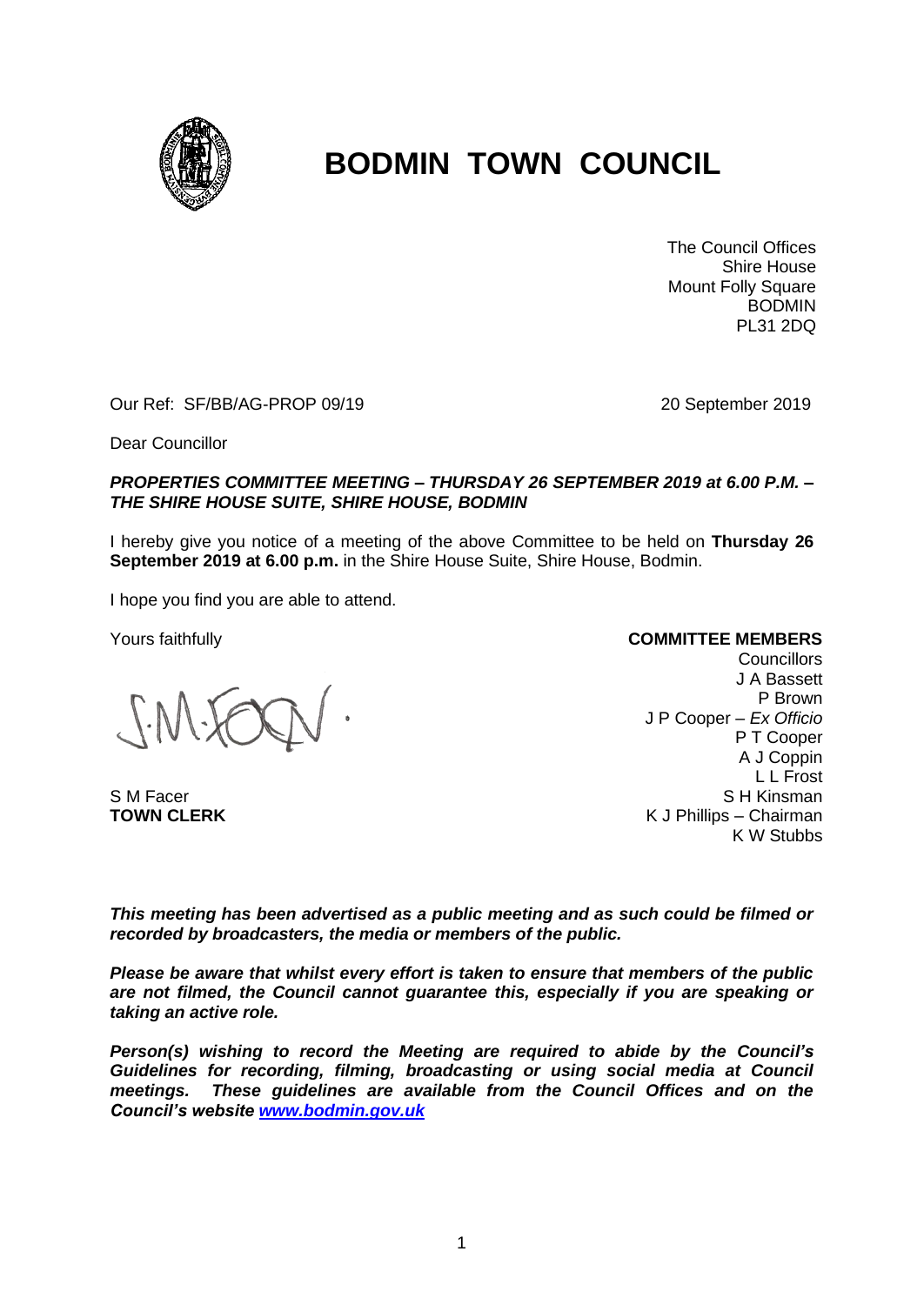

# **BODMIN TOWN COUNCIL**

The Council Offices Shire House Mount Folly Square BODMIN PL31 2DQ

Our Ref: SF/BB/AG-PROP 09/19 20 September 2019

Dear Councillor

## *PROPERTIES COMMITTEE MEETING – THURSDAY 26 SEPTEMBER 2019 at 6.00 P.M. – THE SHIRE HOUSE SUITE, SHIRE HOUSE, BODMIN*

I hereby give you notice of a meeting of the above Committee to be held on **Thursday 26 September 2019 at 6.00 p.m.** in the Shire House Suite, Shire House, Bodmin.

I hope you find you are able to attend.

Yours faithfully

S M Facer **TOWN CLERK**

#### **COMMITTEE MEMBERS**

**Councillors** J A Bassett P Brown J P Cooper – *Ex Officio* P T Cooper A J Coppin L L Frost S H Kinsman K J Phillips – Chairman K W Stubbs

*This meeting has been advertised as a public meeting and as such could be filmed or recorded by broadcasters, the media or members of the public.*

*Please be aware that whilst every effort is taken to ensure that members of the public are not filmed, the Council cannot guarantee this, especially if you are speaking or taking an active role.*

*Person(s) wishing to record the Meeting are required to abide by the Council's Guidelines for recording, filming, broadcasting or using social media at Council meetings. These guidelines are available from the Council Offices and on the Council's website [www.bodmin.gov.uk](http://www.bodmin.gov.uk/)*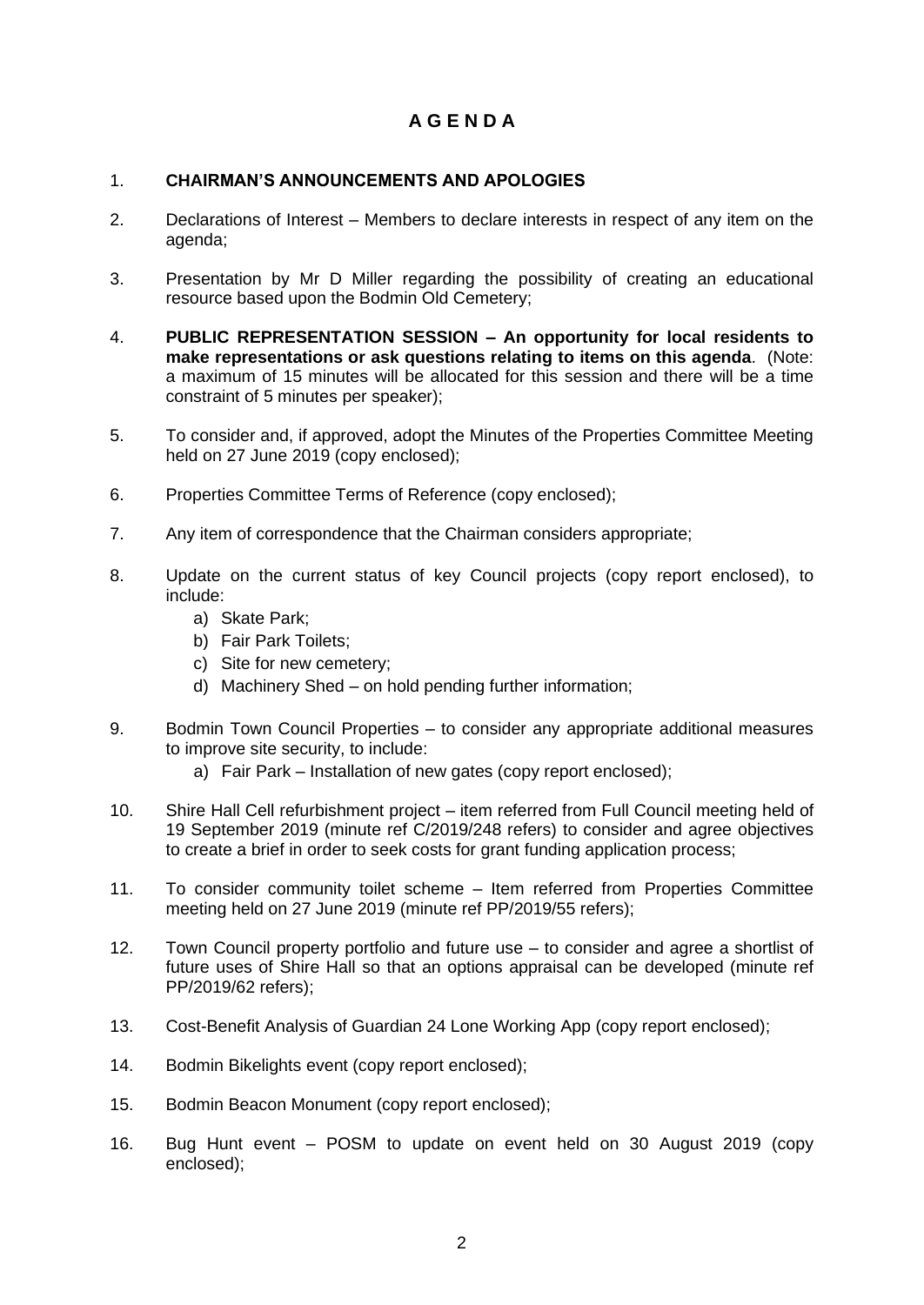## **A G E N D A**

## 1. **CHAIRMAN'S ANNOUNCEMENTS AND APOLOGIES**

- 2. Declarations of Interest Members to declare interests in respect of any item on the agenda;
- 3. Presentation by Mr D Miller regarding the possibility of creating an educational resource based upon the Bodmin Old Cemetery;
- 4. **PUBLIC REPRESENTATION SESSION – An opportunity for local residents to make representations or ask questions relating to items on this agenda**. (Note: a maximum of 15 minutes will be allocated for this session and there will be a time constraint of 5 minutes per speaker);
- 5. To consider and, if approved, adopt the Minutes of the Properties Committee Meeting held on 27 June 2019 (copy enclosed);
- 6. Properties Committee Terms of Reference (copy enclosed);
- 7. Any item of correspondence that the Chairman considers appropriate;
- 8. Update on the current status of key Council projects (copy report enclosed), to include:
	- a) Skate Park;
	- b) Fair Park Toilets;
	- c) Site for new cemetery;
	- d) Machinery Shed on hold pending further information;
- 9. Bodmin Town Council Properties to consider any appropriate additional measures to improve site security, to include:
	- a) Fair Park Installation of new gates (copy report enclosed);
- 10. Shire Hall Cell refurbishment project item referred from Full Council meeting held of 19 September 2019 (minute ref C/2019/248 refers) to consider and agree objectives to create a brief in order to seek costs for grant funding application process;
- 11. To consider community toilet scheme Item referred from Properties Committee meeting held on 27 June 2019 (minute ref PP/2019/55 refers);
- 12. Town Council property portfolio and future use to consider and agree a shortlist of future uses of Shire Hall so that an options appraisal can be developed (minute ref PP/2019/62 refers);
- 13. Cost-Benefit Analysis of Guardian 24 Lone Working App (copy report enclosed);
- 14. Bodmin Bikelights event (copy report enclosed);
- 15. Bodmin Beacon Monument (copy report enclosed);
- 16. Bug Hunt event POSM to update on event held on 30 August 2019 (copy enclosed);